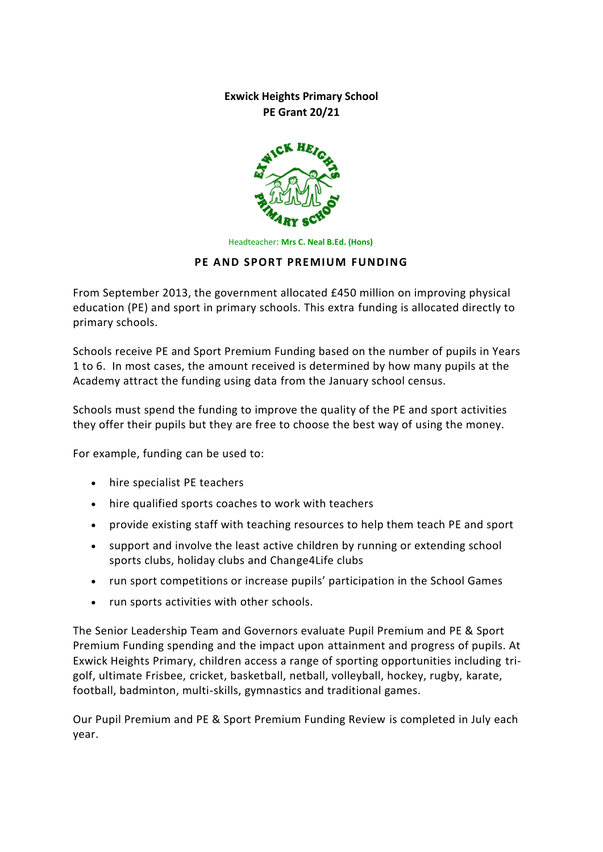**Exwick Heights Primary School PE Grant 20/21**



Headteacher: **Mrs C. Neal B.Ed. (Hons)**

### **PE AND SPORT PREMIUM FUNDING**

From September 2013, the government allocated £450 million on improving physical education (PE) and sport in primary schools. This extra funding is allocated directly to primary schools.

Schools receive PE and Sport Premium Funding based on the number of pupils in Years 1 to 6. In most cases, the amount received is determined by how many pupils at the Academy attract the funding using data from the January school census.

Schools must spend the funding to improve the quality of the PE and sport activities they offer their pupils but they are free to choose the best way of using the money.

For example, funding can be used to:

- hire specialist PE teachers
- hire qualified sports coaches to work with teachers
- provide existing staff with teaching resources to help them teach PE and sport
- support and involve the least active children by running or extending school sports clubs, holiday clubs and Change4Life clubs
- run sport competitions or increase pupils' participation in the School Games
- run sports activities with other schools.

The Senior Leadership Team and Governors evaluate Pupil Premium and PE & Sport Premium Funding spending and the impact upon attainment and progress of pupils. At Exwick Heights Primary, children access a range of sporting opportunities including trigolf, ultimate Frisbee, cricket, basketball, netball, volleyball, hockey, rugby, karate, football, badminton, multi-skills, gymnastics and traditional games.

Our Pupil Premium and PE & Sport Premium Funding Review is completed in July each year.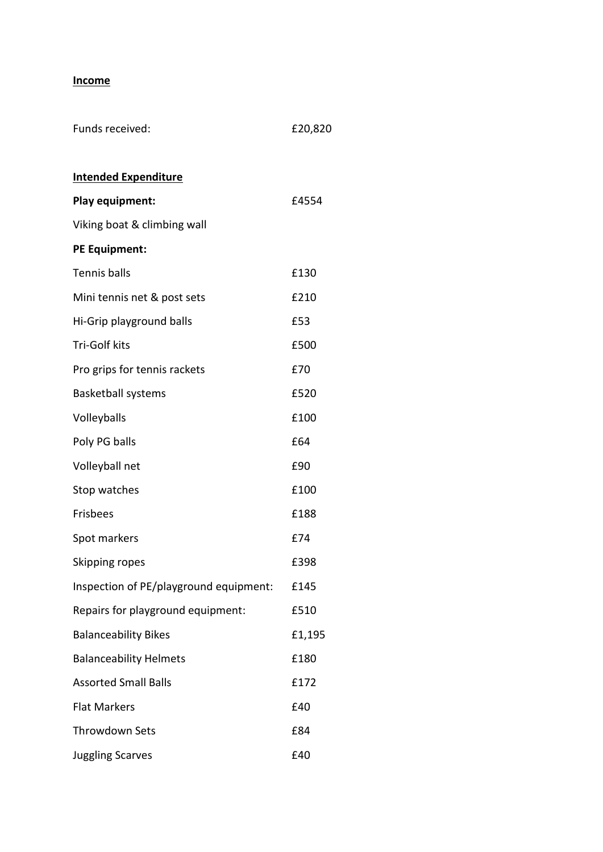# **Income**

| Funds received:                        | £20,820 |
|----------------------------------------|---------|
|                                        |         |
| <b>Intended Expenditure</b>            |         |
| Play equipment:                        | £4554   |
| Viking boat & climbing wall            |         |
| <b>PE Equipment:</b>                   |         |
| <b>Tennis balls</b>                    | £130    |
| Mini tennis net & post sets            | £210    |
| Hi-Grip playground balls               | £53     |
| Tri-Golf kits                          | £500    |
| Pro grips for tennis rackets           | £70     |
| <b>Basketball systems</b>              | £520    |
| Volleyballs                            | £100    |
| Poly PG balls                          | £64     |
| Volleyball net                         | £90     |
| Stop watches                           | £100    |
| <b>Frisbees</b>                        | £188    |
| Spot markers                           | £74     |
| Skipping ropes                         | £398    |
| Inspection of PE/playground equipment: | £145    |
| Repairs for playground equipment:      | £510    |
| <b>Balanceability Bikes</b>            | £1,195  |
| <b>Balanceability Helmets</b>          | £180    |
| <b>Assorted Small Balls</b>            | £172    |
| <b>Flat Markers</b>                    | £40     |
| <b>Throwdown Sets</b>                  | £84     |
| <b>Juggling Scarves</b>                | £40     |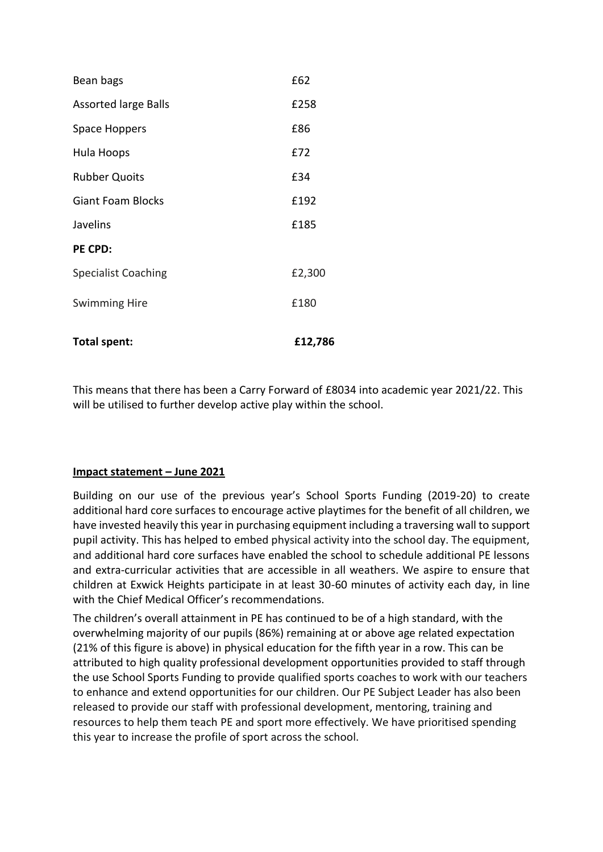| Total spent:                | £12,786 |
|-----------------------------|---------|
| <b>Swimming Hire</b>        | £180    |
| <b>Specialist Coaching</b>  | £2,300  |
| PE CPD:                     |         |
| Javelins                    | £185    |
| <b>Giant Foam Blocks</b>    | £192    |
| <b>Rubber Quoits</b>        | £34     |
| Hula Hoops                  | £72     |
| Space Hoppers               | £86     |
| <b>Assorted large Balls</b> | £258    |
| Bean bags                   | £62     |

This means that there has been a Carry Forward of £8034 into academic year 2021/22. This will be utilised to further develop active play within the school.

### **Impact statement – June 2021**

Building on our use of the previous year's School Sports Funding (2019-20) to create additional hard core surfaces to encourage active playtimes for the benefit of all children, we have invested heavily this year in purchasing equipment including a traversing wall to support pupil activity. This has helped to embed physical activity into the school day. The equipment, and additional hard core surfaces have enabled the school to schedule additional PE lessons and extra-curricular activities that are accessible in all weathers. We aspire to ensure that children at Exwick Heights participate in at least 30-60 minutes of activity each day, in line with the Chief Medical Officer's recommendations.

The children's overall attainment in PE has continued to be of a high standard, with the overwhelming majority of our pupils (86%) remaining at or above age related expectation (21% of this figure is above) in physical education for the fifth year in a row. This can be attributed to high quality professional development opportunities provided to staff through the use School Sports Funding to provide qualified sports coaches to work with our teachers to enhance and extend opportunities for our children. Our PE Subject Leader has also been released to provide our staff with professional development, mentoring, training and resources to help them teach PE and sport more effectively. We have prioritised spending this year to increase the profile of sport across the school.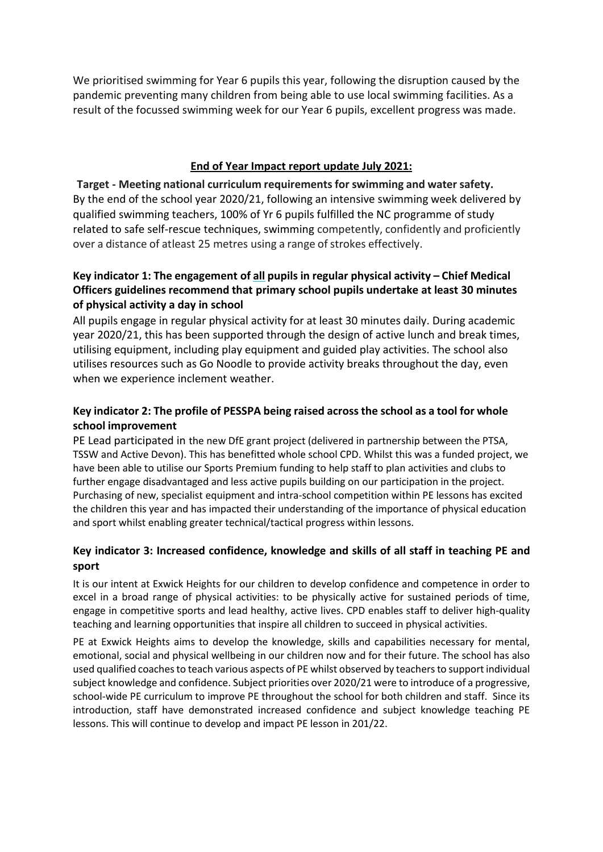We prioritised swimming for Year 6 pupils this year, following the disruption caused by the pandemic preventing many children from being able to use local swimming facilities. As a result of the focussed swimming week for our Year 6 pupils, excellent progress was made.

### **End of Year Impact report update July 2021:**

**Target - Meeting national curriculum requirementsfor swimming and water safety.** By the end of the school year 2020/21, following an intensive swimming week delivered by qualified swimming teachers, 100% of Yr 6 pupils fulfilled the NC programme of study related to safe self-rescue techniques, swimming competently, confidently and proficiently over a distance of atleast 25 metres using a range of strokes effectively.

# **Key indicator 1: The engagement of all pupils in regular physical activity – Chief Medical Officers guidelines recommend that primary school pupils undertake at least 30 minutes of physical activity a day in school**

All pupils engage in regular physical activity for at least 30 minutes daily. During academic year 2020/21, this has been supported through the design of active lunch and break times, utilising equipment, including play equipment and guided play activities. The school also utilises resources such as Go Noodle to provide activity breaks throughout the day, even when we experience inclement weather.

# **Key indicator 2: The profile of PESSPA being raised acrossthe school as a tool for whole school improvement**

PE Lead participated in the new DfE grant project (delivered in partnership between the PTSA, TSSW and Active Devon). This has benefitted whole school CPD. Whilst this was a funded project, we have been able to utilise our Sports Premium funding to help staff to plan activities and clubs to further engage disadvantaged and less active pupils building on our participation in the project. Purchasing of new, specialist equipment and intra-school competition within PE lessons has excited the children this year and has impacted their understanding of the importance of physical education and sport whilst enabling greater technical/tactical progress within lessons.

# **Key indicator 3: Increased confidence, knowledge and skills of all staff in teaching PE and sport**

It is our intent at Exwick Heights for our children to develop confidence and competence in order to excel in a broad range of physical activities: to be physically active for sustained periods of time, engage in competitive sports and lead healthy, active lives. CPD enables staff to deliver high-quality teaching and learning opportunities that inspire all children to succeed in physical activities.

PE at Exwick Heights aims to develop the knowledge, skills and capabilities necessary for mental, emotional, social and physical wellbeing in our children now and for their future. The school has also used qualified coaches to teach various aspects of PE whilst observed by teachers to support individual subject knowledge and confidence. Subject priorities over 2020/21 were to introduce of a progressive, school-wide PE curriculum to improve PE throughout the school for both children and staff. Since its introduction, staff have demonstrated increased confidence and subject knowledge teaching PE lessons. This will continue to develop and impact PE lesson in 201/22.